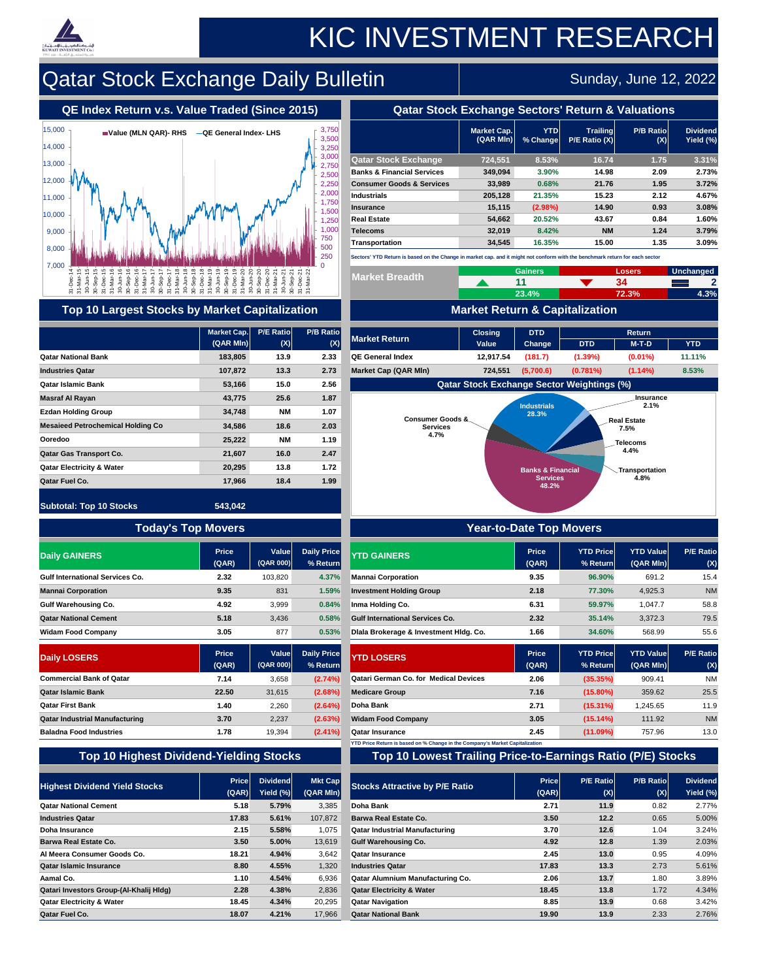|                                       | <b>Market Cap.</b><br>$(QAR$ MIn) | <b>YTD</b><br>% Change | <b>Trailing</b><br>$P/E$ Ratio $(X)$ | <b>P/B Ratiol</b><br>(X) | <b>Dividend</b><br>Yield (%) |
|---------------------------------------|-----------------------------------|------------------------|--------------------------------------|--------------------------|------------------------------|
| <b>Qatar Stock Exchange</b>           | 724,551                           | 8.53%                  | 16.74                                | 1.75                     | $3.31\%$                     |
| <b>Banks &amp; Financial Services</b> | 349,094                           | 3.90%                  | 14.98                                | 2.09                     | 2.73%                        |
| <b>Consumer Goods &amp; Services</b>  | 33,989                            | 0.68%                  | 21.76                                | 1.95                     | 3.72%                        |
| <b>Industrials</b>                    | 205,128                           | 21.35%                 | 15.23                                | 2.12                     | 4.67%                        |
| <b>Insurance</b>                      | 15,115                            | (2.98%)                | 14.90                                | 0.93                     | 3.08%                        |
| <b>Real Estate</b>                    | 54,662                            | 20.52%                 | 43.67                                | 0.84                     | 1.60%                        |
| <b>Telecoms</b>                       | 32,019                            | 8.42%                  | <b>NM</b>                            | 1.24                     | 3.79%                        |
| <b>Transportation</b>                 | 34,545                            | 16.35%                 | 15.00                                | 1.35                     | 3.09%                        |

|                                                                                                  |                                                      |                           | 250                            | Sectors' YTD Return is based on the Change in market cap. and it might not conform with the benchmark return for each sector |                |                              |                                                   |                                     |                         |  |  |  |  |
|--------------------------------------------------------------------------------------------------|------------------------------------------------------|---------------------------|--------------------------------|------------------------------------------------------------------------------------------------------------------------------|----------------|------------------------------|---------------------------------------------------|-------------------------------------|-------------------------|--|--|--|--|
| 7,000                                                                                            |                                                      |                           |                                | <b>Market Breadth</b>                                                                                                        |                | <b>Gainers</b>               |                                                   | <b>Losers</b>                       | Unchanged               |  |  |  |  |
| $\frac{16}{9}$<br>DeC<br>Part<br>Part<br>Part<br>Sep<br>$\frac{5}{2}$<br>31-De<br>31-Mi<br>30-JL | <b>10 - Sep<br/>0-Sep<br/>11 - Mar<br/>10 - Junn</b> | $\Box$                    |                                |                                                                                                                              |                | 11                           |                                                   | 34                                  | $\boldsymbol{2}$        |  |  |  |  |
|                                                                                                  |                                                      |                           |                                |                                                                                                                              |                | 23.4%                        |                                                   | 72.3%                               | 4.3%                    |  |  |  |  |
| <b>Top 10 Largest Stocks by Market Capitalization</b>                                            |                                                      |                           |                                |                                                                                                                              |                |                              | <b>Market Return &amp; Capitalization</b>         |                                     |                         |  |  |  |  |
|                                                                                                  | Market Cap.                                          | <b>P/E Ratio</b>          | <b>P/B Ratio</b>               | <b>Market Return</b>                                                                                                         | <b>Closing</b> | <b>DTD</b>                   |                                                   | <b>Return</b>                       |                         |  |  |  |  |
|                                                                                                  | $(QAR$ MIn $) $                                      | (X)                       | (X)                            |                                                                                                                              | <b>Value</b>   | <b>Change</b>                | <b>DTD</b>                                        | $M-T-D$                             | <b>YTD</b>              |  |  |  |  |
| <b>Qatar National Bank</b>                                                                       | 183,805                                              | 13.9                      | 2.33                           | <b>QE General Index</b>                                                                                                      | 12,917.54      | (181.7)                      | $(1.39\%)$                                        | $(0.01\%)$                          | 11.11%                  |  |  |  |  |
| <b>Industries Qatar</b>                                                                          | 107,872                                              | 13.3                      | 2.73                           | <b>Market Cap (QAR MIn)</b>                                                                                                  | 724,551        | (5,700.6)                    | $(0.781\%)$                                       | $(1.14\%)$                          | 8.53%                   |  |  |  |  |
| <b>Qatar Islamic Bank</b>                                                                        | 53,166                                               | 15.0                      | 2.56                           |                                                                                                                              |                |                              | <b>Qatar Stock Exchange Sector Weightings (%)</b> |                                     |                         |  |  |  |  |
| <b>Masraf Al Rayan</b>                                                                           | 43,775                                               | 25.6                      | 1.87                           |                                                                                                                              |                | <b>Industrials</b>           |                                                   | <b>Insurance</b><br>2.1%            |                         |  |  |  |  |
| <b>Ezdan Holding Group</b>                                                                       | 34,748                                               | <b>NM</b>                 | 1.07                           |                                                                                                                              |                | 28.3%                        |                                                   |                                     |                         |  |  |  |  |
| <b>Mesaieed Petrochemical Holding Co</b>                                                         | 34,586                                               | 18.6                      | 2.03                           | <b>Consumer Goods &amp;</b><br><b>Services</b>                                                                               |                |                              |                                                   | <b>Real Estate</b><br>7.5%          |                         |  |  |  |  |
| <b>Ooredoo</b>                                                                                   | 25,222                                               | <b>NM</b>                 | 1.19                           | 4.7%                                                                                                                         |                |                              |                                                   | <b>Telecoms</b>                     |                         |  |  |  |  |
| <b>Qatar Gas Transport Co.</b>                                                                   | 21,607                                               | 16.0                      | 2.47                           |                                                                                                                              |                |                              |                                                   | 4.4%                                |                         |  |  |  |  |
| <b>Qatar Electricity &amp; Water</b>                                                             | 20,295                                               | 13.8                      | 1.72                           |                                                                                                                              |                | <b>Banks &amp; Financial</b> |                                                   | <b>Transportation</b>               |                         |  |  |  |  |
| <b>Qatar Fuel Co.</b>                                                                            | 17,966                                               | 18.4                      | 1.99                           |                                                                                                                              |                | <b>Services</b><br>48.2%     |                                                   | 4.8%                                |                         |  |  |  |  |
| <b>Subtotal: Top 10 Stocks</b>                                                                   | 543,042                                              |                           |                                |                                                                                                                              |                |                              |                                                   |                                     |                         |  |  |  |  |
| <b>Today's Top Movers</b>                                                                        |                                                      |                           |                                | <b>Year-to-Date Top Movers</b>                                                                                               |                |                              |                                                   |                                     |                         |  |  |  |  |
| <b>Daily GAINERS</b>                                                                             | <b>Price</b><br>(QAR)                                | <b>Value</b><br>(QAR 000) | <b>Daily Price</b><br>% Return | <b>YTD GAINERS</b>                                                                                                           |                | <b>Price</b><br>(QAR)        | <b>YTD Price</b><br>$%$ Return                    | <b>YTD Value</b><br>$(QAR$ MIn)     | <b>P/E Ratio</b><br>(X) |  |  |  |  |
| <b>Gulf International Services Co.</b>                                                           | 2.32                                                 | 103,820                   | 4.37%                          | <b>Mannai Corporation</b>                                                                                                    |                | 9.35                         | 96.90%                                            | 691.2                               | 15.4                    |  |  |  |  |
| <b>Mannai Corporation</b>                                                                        | 9.35                                                 | 831                       | 1.59%                          | <b>Investment Holding Group</b>                                                                                              |                | 2.18                         | 77.30%                                            | 4,925.3                             | <b>NM</b>               |  |  |  |  |
| <b>Gulf Warehousing Co.</b>                                                                      | 4.92                                                 | 3,999                     | 0.84%                          | <b>Inma Holding Co.</b>                                                                                                      |                | 6.31                         | 59.97%                                            | 1,047.7                             | 58.8                    |  |  |  |  |
| <b>Qatar National Cement</b>                                                                     | 5.18                                                 | 3,436                     | 0.58%                          | <b>Gulf International Services Co.</b>                                                                                       |                | 2.32                         | 35.14%                                            | 3,372.3                             | 79.5                    |  |  |  |  |
| <b>Widam Food Company</b>                                                                        | 3.05                                                 | 877                       | 0.53%                          | Diala Brokerage & Investment Hidg. Co.                                                                                       |                | 1.66                         | 34.60%                                            | 568.99                              | 55.6                    |  |  |  |  |
| <b>Daily LOSERS</b>                                                                              | <b>Price</b><br>(QAR)                                | Value<br>(QAR 000)        | <b>Daily Price</b><br>% Return | <b>YTD LOSERS</b>                                                                                                            |                | <b>Price</b><br>(QAR)        | <b>YTD Price</b><br>$%$ Return                    | <b>YTD Value</b><br>$(QAR$ MIn $) $ | <b>P/E Ratio</b><br>(X) |  |  |  |  |
| <b>Commercial Bank of Qatar</b>                                                                  | 7.14                                                 | 3,658                     | (2.74%)                        | <b>Qatari German Co. for Medical Devices</b>                                                                                 |                | 2.06                         | (35.35%)                                          | 909.41                              | <b>NM</b>               |  |  |  |  |
| <b>Qatar Islamic Bank</b>                                                                        | 22.50                                                | 31,615                    | (2.68%)                        | <b>Medicare Group</b>                                                                                                        |                | 7.16                         | $(15.80\%)$                                       | 359.62                              | 25.5                    |  |  |  |  |
| <b>Qatar First Bank</b>                                                                          | 1.40                                                 | 2,260                     | (2.64%)                        | Doha Bank                                                                                                                    |                | 2.71                         | $(15.31\%)$                                       | 1,245.65                            | 11.9                    |  |  |  |  |
| <b>Qatar Industrial Manufacturing</b>                                                            | 3.70                                                 | 2,237                     | (2.63%)                        | <b>Widam Food Company</b>                                                                                                    |                | 3.05                         | $(15.14\%)$                                       | 111.92                              | <b>NM</b>               |  |  |  |  |
|                                                                                                  |                                                      |                           |                                |                                                                                                                              |                |                              |                                                   |                                     |                         |  |  |  |  |
| <b>Baladna Food Industries</b>                                                                   | 1.78                                                 | 19,394                    | $(2.41\%)$                     | <b>Qatar Insurance</b>                                                                                                       |                | 2.45                         | $(11.09\%)$                                       | 757.96                              | 13.0                    |  |  |  |  |

## **Top 10 Highest Dividend-Yielding Stocks Top 10 Lowest Trailing Price-to-Earnings Ratio (P/E) Stocks**

| <b>Highest Dividend Yield Stocks</b>           | <b>Price</b><br>(QAR) | <b>Dividend</b><br>Yield (%) | <b>Mkt Cap</b><br>(QAR MIn) | <b>Stocks Attractive by P/E Ratio</b>   | <b>Price</b><br>(QAR) | <b>P/E Ratiol</b><br>$ \mathbf(X) $ | <b>P/B Ratio</b><br>$\overline{\mathbf{X}}$ | <b>Dividend</b><br>Yield (%) |
|------------------------------------------------|-----------------------|------------------------------|-----------------------------|-----------------------------------------|-----------------------|-------------------------------------|---------------------------------------------|------------------------------|
| <b>Qatar National Cement</b>                   | 5.18                  | 5.79%                        | 3,385                       | Doha Bank                               | 2.71                  | 11.9                                | 0.82                                        | 2.77%                        |
| <b>Industries Qatar</b>                        | 17.83                 | 5.61%                        | 107,872                     | <b>Barwa Real Estate Co.</b>            | 3.50                  | 12.2                                | 0.65                                        | 5.00%                        |
| <b>Doha Insurance</b>                          | 2.15                  | 5.58%                        | 1,075                       | <b>Qatar Industrial Manufacturing</b>   | 3.70                  | 12.6                                | 1.04                                        | 3.24%                        |
| <b>Barwa Real Estate Co.</b>                   | 3.50                  | 5.00%                        | 13,619                      | <b>Gulf Warehousing Co.</b>             | 4.92                  | 12.8                                | 1.39                                        | 2.03%                        |
| Al Meera Consumer Goods Co.                    | 18.21                 | 4.94%                        | 3,642                       | <b>Qatar Insurance</b>                  | 2.45                  | 13.0                                | 0.95                                        | 4.09%                        |
| <b>Qatar Islamic Insurance</b>                 | 8.80                  | 4.55%                        | 1,320                       | <b>Industries Qatar</b>                 | 17.83                 | 13.3                                | 2.73                                        | 5.61%                        |
| <b>Aamal Co.</b>                               | 1.10                  | 4.54%                        | 6,936                       | <b>Qatar Alumnium Manufacturing Co.</b> | 2.06                  | 13.7                                | 1.80                                        | 3.89%                        |
| <b>Qatari Investors Group-(Al-Khalij HIdg)</b> | 2.28                  | 4.38%                        | 2,836                       | <b>Qatar Electricity &amp; Water</b>    | 18.45                 | 13.8                                | 1.72                                        | 4.34%                        |
| <b>Qatar Electricity &amp; Water</b>           | 18.45                 | 4.34%                        | 20,295                      | <b>Qatar Navigation</b>                 | 8.85                  | 13.9                                | 0.68                                        | 3.42%                        |
| <b>Qatar Fuel Co.</b>                          | 18.07                 | 4.21%                        | 17,966                      | <b>Qatar National Bank</b>              | 19.90                 | 13.9                                | 2.33                                        | 2.76%                        |

## **QE Index Return v.s. Value Traded (Since 2015) Qatar Stock Exchange Sectors' Return & Valuations**



# KIC INVESTMENT RESEARCH

# $\vert$  Qatar Stock Exchange Daily Bulletin  $\vert$  Sunday, June 12, 2022 $\vert$

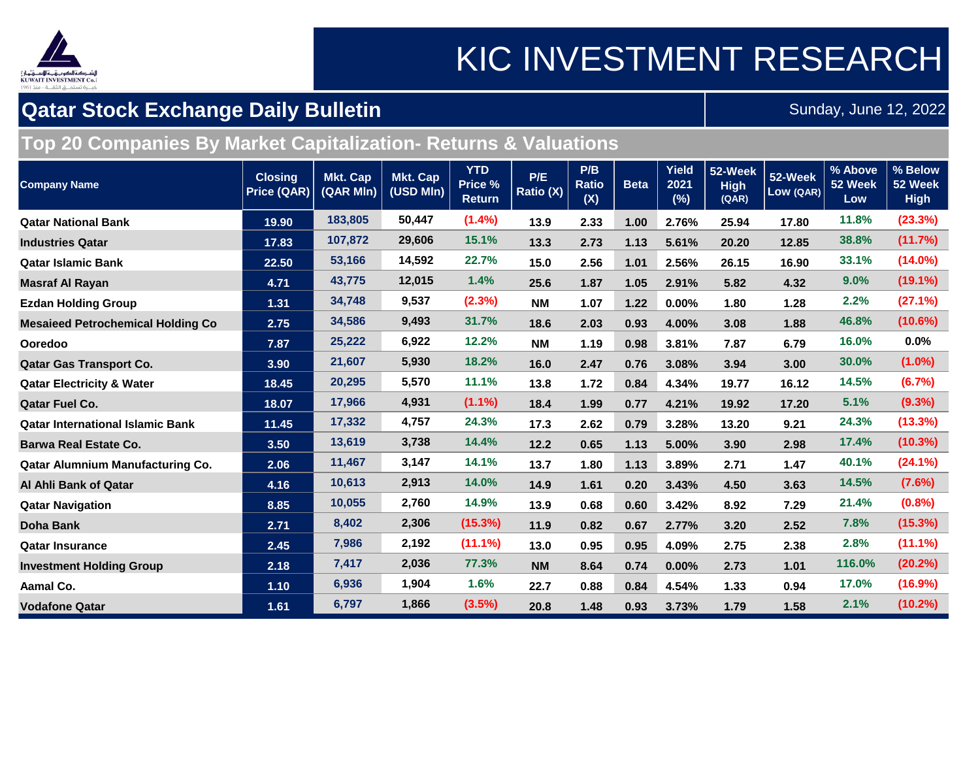

## KIC INVESTMENT RESEARCH

### **Qatar Stock Exchange Daily Bulletin**

Sunday, June 12, 2022

### **Top 20 Companies By Market Capitalization- Returns & Valuations**

| <b>Company Name</b>                      | <b>Closing</b><br><b>Price (QAR)</b> | <b>Mkt. Cap</b><br>(QAR MIn) | <b>Mkt. Cap</b><br>(USD MIn) | <b>YTD</b><br>Price %<br><b>Return</b> | P/E<br>Ratio (X) | P/B<br><b>Ratio</b><br>(X) | <b>Beta</b> | <b>Yield</b><br>2021<br>(%) | 52-Week<br><b>High</b><br>(QAR) | 52-Week<br>Low (QAR) | % Above<br>52 Week<br>Low | % Below<br>52 Week<br><b>High</b> |
|------------------------------------------|--------------------------------------|------------------------------|------------------------------|----------------------------------------|------------------|----------------------------|-------------|-----------------------------|---------------------------------|----------------------|---------------------------|-----------------------------------|
| <b>Qatar National Bank</b>               | 19.90                                | 183,805                      | 50,447                       | (1.4%)                                 | 13.9             | 2.33                       | 1.00        | 2.76%                       | 25.94                           | 17.80                | 11.8%                     | (23.3%)                           |
| <b>Industries Qatar</b>                  | 17.83                                | 107,872                      | 29,606                       | 15.1%                                  | 13.3             | 2.73                       | 1.13        | 5.61%                       | 20.20                           | 12.85                | 38.8%                     | (11.7%)                           |
| <b>Qatar Islamic Bank</b>                | 22.50                                | 53,166                       | 14,592                       | 22.7%                                  | 15.0             | 2.56                       | 1.01        | 2.56%                       | 26.15                           | 16.90                | 33.1%                     | $(14.0\%)$                        |
| <b>Masraf Al Rayan</b>                   | 4.71                                 | 43,775                       | 12,015                       | 1.4%                                   | 25.6             | 1.87                       | 1.05        | 2.91%                       | 5.82                            | 4.32                 | 9.0%                      | $(19.1\%)$                        |
| <b>Ezdan Holding Group</b>               | 1.31                                 | 34,748                       | 9,537                        | (2.3%)                                 | <b>NM</b>        | 1.07                       | 1.22        | 0.00%                       | 1.80                            | 1.28                 | 2.2%                      | (27.1%)                           |
| <b>Mesaieed Petrochemical Holding Co</b> | 2.75                                 | 34,586                       | 9,493                        | 31.7%                                  | 18.6             | 2.03                       | 0.93        | 4.00%                       | 3.08                            | 1.88                 | 46.8%                     | (10.6%)                           |
| Ooredoo                                  | 7.87                                 | 25,222                       | 6,922                        | 12.2%                                  | <b>NM</b>        | 1.19                       | 0.98        | 3.81%                       | 7.87                            | 6.79                 | 16.0%                     | 0.0%                              |
| <b>Qatar Gas Transport Co.</b>           | 3.90                                 | 21,607                       | 5,930                        | 18.2%                                  | 16.0             | 2.47                       | 0.76        | 3.08%                       | 3.94                            | 3.00                 | 30.0%                     | $(1.0\%)$                         |
| <b>Qatar Electricity &amp; Water</b>     | 18.45                                | 20,295                       | 5,570                        | 11.1%                                  | 13.8             | 1.72                       | 0.84        | 4.34%                       | 19.77                           | 16.12                | 14.5%                     | (6.7%)                            |
| <b>Qatar Fuel Co.</b>                    | 18.07                                | 17,966                       | 4,931                        | $(1.1\%)$                              | 18.4             | 1.99                       | 0.77        | 4.21%                       | 19.92                           | 17.20                | 5.1%                      | $(9.3\%)$                         |
| <b>Qatar International Islamic Bank</b>  | 11.45                                | 17,332                       | 4,757                        | 24.3%                                  | 17.3             | 2.62                       | 0.79        | 3.28%                       | 13.20                           | 9.21                 | 24.3%                     | (13.3%)                           |
| <b>Barwa Real Estate Co.</b>             | 3.50                                 | 13,619                       | 3,738                        | 14.4%                                  | 12.2             | 0.65                       | 1.13        | 5.00%                       | 3.90                            | 2.98                 | 17.4%                     | (10.3%)                           |
| <b>Qatar Alumnium Manufacturing Co.</b>  | 2.06                                 | 11,467                       | 3,147                        | 14.1%                                  | 13.7             | 1.80                       | 1.13        | 3.89%                       | 2.71                            | 1.47                 | 40.1%                     | $(24.1\%)$                        |
| Al Ahli Bank of Qatar                    | 4.16                                 | 10,613                       | 2,913                        | 14.0%                                  | 14.9             | 1.61                       | 0.20        | 3.43%                       | 4.50                            | 3.63                 | 14.5%                     | (7.6%)                            |
| <b>Qatar Navigation</b>                  | 8.85                                 | 10,055                       | 2,760                        | 14.9%                                  | 13.9             | 0.68                       | 0.60        | 3.42%                       | 8.92                            | 7.29                 | 21.4%                     | $(0.8\%)$                         |
| <b>Doha Bank</b>                         | 2.71                                 | 8,402                        | 2,306                        | (15.3%)                                | 11.9             | 0.82                       | 0.67        | 2.77%                       | 3.20                            | 2.52                 | 7.8%                      | (15.3%)                           |
| <b>Qatar Insurance</b>                   | 2.45                                 | 7,986                        | 2,192                        | $(11.1\%)$                             | 13.0             | 0.95                       | 0.95        | 4.09%                       | 2.75                            | 2.38                 | 2.8%                      | $(11.1\%)$                        |
| <b>Investment Holding Group</b>          | 2.18                                 | 7,417                        | 2,036                        | 77.3%                                  | <b>NM</b>        | 8.64                       | 0.74        | 0.00%                       | 2.73                            | 1.01                 | 116.0%                    | (20.2%)                           |
| <b>Aamal Co.</b>                         | 1.10                                 | 6,936                        | 1,904                        | 1.6%                                   | 22.7             | 0.88                       | 0.84        | 4.54%                       | 1.33                            | 0.94                 | 17.0%                     | (16.9%)                           |
| <b>Vodafone Qatar</b>                    | 1.61                                 | 6,797                        | 1,866                        | (3.5%)                                 | 20.8             | 1.48                       | 0.93        | 3.73%                       | 1.79                            | 1.58                 | 2.1%                      | (10.2%)                           |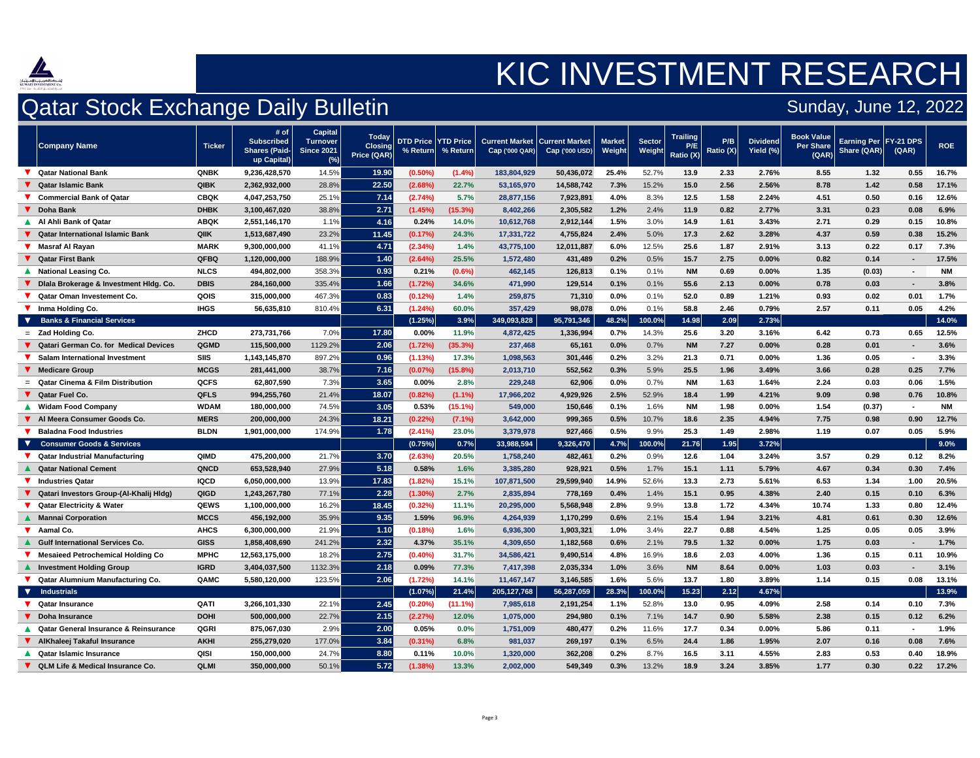

## Qatar Stock Exchange Daily Bulletin



| <b>Company Name</b>                       | <b>Ticker</b> | # of<br><b>Subscribed</b><br><b>Shares (Paid-</b><br>up Capital) | <b>Capital</b><br><b>Turnover</b><br><b>Since 2021</b><br>(%) | <b>Today</b><br><b>Closing</b><br><b>Price (QAR)</b> | $%$ Return | <b>DTD Price   YTD Price  </b><br>% Return | <b>Current Market   Current Market  </b><br>Cap(000 QAR) | $Cap$ ('000 USD) | <b>Market</b><br>Weight | <b>Sector</b><br>Weight Ratio (X) | <b>Trailing</b><br>P/E  | P/B<br>Ratio (X) | <b>Dividend</b><br>Yield (%) | <b>Book Value</b><br>Per Share<br>(QAR) | <b>Earning Per   FY-21 DPS</b><br>Share (QAR) | (QAR)          | <b>ROE</b> |
|-------------------------------------------|---------------|------------------------------------------------------------------|---------------------------------------------------------------|------------------------------------------------------|------------|--------------------------------------------|----------------------------------------------------------|------------------|-------------------------|-----------------------------------|-------------------------|------------------|------------------------------|-----------------------------------------|-----------------------------------------------|----------------|------------|
| Qatar National Bank                       | <b>QNBK</b>   | 9,236,428,570                                                    | 14.5%                                                         | 19.90                                                | $(0.50\%)$ | $(1.4\%)$                                  | 183,804,929                                              | 50,436,072       | 25.4%                   | 52.7%                             | 13.9                    | 2.33             | 2.76%                        | 8.55                                    | 1.32                                          | 0.55           | 16.7%      |
| ▼ Qatar Islamic Bank                      | <b>QIBK</b>   | 2,362,932,000                                                    | 28.8%                                                         | 22.50                                                | (2.68%)    | 22.7%                                      | 53,165,970                                               | 14,588,742       | 7.3%                    | 15.2%                             | 15.0                    | 2.56             | 2.56%                        | 8.78                                    | 1.42                                          | 0.58           | 17.1%      |
| <b>Commercial Bank of Qatar</b>           | <b>CBQK</b>   | 4,047,253,750                                                    | 25.1%                                                         | 7.14                                                 | (2.74%)    | 5.7%                                       | 28,877,156                                               | 7,923,891        | 4.0%                    | 8.3%                              | $12.5$                  | 1.58             | 2.24%                        | 4.51                                    | 0.50                                          | 0.16           | 12.6%      |
| <b>V</b> Doha Bank                        | <b>DHBK</b>   | 3,100,467,020                                                    | 38.8%                                                         | 2.71                                                 | (1.45%)    | (15.3%)                                    | 8,402,266                                                | 2,305,582        | 1.2%                    | 2.4%                              | 11.9                    | 0.82             | 2.77%                        | 3.31                                    | 0.23                                          | 0.08           | 6.9%       |
| <b>Al Ahli Bank of Qatar</b>              | <b>ABQK</b>   | 2,551,146,170                                                    | 1.1%                                                          | 4.16                                                 | 0.24%      | 14.0%                                      | 10,612,768                                               | 2,912,144        | 1.5%                    | 3.0%                              | 14.9                    | 1.61             | 3.43%                        | 2.71                                    | 0.29                                          | 0.15           | 10.8%      |
| ● Qatar International Islamic Bank        | <b>QIIK</b>   | 1,513,687,490                                                    | 23.2%                                                         | 11.45                                                | (0.17%)    | 24.3%                                      | 17,331,722                                               | 4,755,824        | 2.4%                    | 5.0%                              | 17.3                    | 2.62             | 3.28%                        | 4.37                                    | 0.59                                          | 0.38           | 15.2%      |
| ▼ Masraf Al Rayan                         | <b>MARK</b>   | 9,300,000,000                                                    | 41.1%                                                         | 4.71                                                 | (2.34%)    | 1.4%                                       | 43,775,100                                               | 12,011,887       | 6.0%                    | 12.5%                             | 25.6                    | 1.87             | 2.91%                        | 3.13                                    | 0.22                                          | 0.17           | 7.3%       |
| ▼ Qatar First Bank                        | <b>QFBQ</b>   | 1,120,000,000                                                    | 188.9%                                                        | 1.40                                                 | (2.64%)    | 25.5%                                      | 1,572,480                                                | 431,489          | 0.2%                    | 0.5%                              | 15.7                    | 2.75             | $0.00\%$                     | 0.82                                    | 0.14                                          | $\blacksquare$ | 17.5%      |
| <b>National Leasing Co.</b>               | <b>NLCS</b>   | 494,802,000                                                      | 358.3%                                                        | 0.93                                                 | 0.21%      | $(0.6\%)$                                  | 462,145                                                  | 126,813          | 0.1%                    | 0.1%                              | <b>NM</b>               | 0.69             | $0.00\%$                     | 1.35                                    | (0.03)                                        | $\blacksquare$ | <b>NM</b>  |
| ▼ Diala Brokerage & Investment Hidg. Co.  | <b>DBIS</b>   | 284,160,000                                                      | 335.4%                                                        | 1.66                                                 | (1.72%)    | 34.6%                                      | 471,990                                                  | 129,514          | 0.1%                    | 0.1%                              | 55.6                    | 2.13             | $0.00\%$                     | 0.78                                    | 0.03                                          | $\sim$         | 3.8%       |
| Qatar Oman Investement Co.                | <b>QOIS</b>   | 315,000,000                                                      | 467.3%                                                        | 0.83                                                 | (0.12%)    | 1.4%                                       | 259,875                                                  | 71,310           | 0.0%                    | 0.1%                              | 52.0                    | 0.89             | 1.21%                        | 0.93                                    | 0.02                                          | 0.01           | 1.7%       |
| <b>V</b> Inma Holding Co.                 | <b>IHGS</b>   | 56,635,810                                                       | 810.4%                                                        | 6.31                                                 | (1.24%)    | 60.0%                                      | 357,429                                                  | 98,078           | 0.0%                    | 0.1%                              | 58.8                    | 2.46             | 0.79%                        | 2.57                                    | 0.11                                          | 0.05           | 4.2%       |
| <b>Banks &amp; Financial Services</b>     |               |                                                                  |                                                               |                                                      | (1.25%)    | 3.9%                                       | 349,093,828                                              | 95,791,346       | 48.2%                   | $100.0\%$                         | 14.98                   | 2.09             | 2.73%                        |                                         |                                               |                | 14.0%      |
| $=$ Zad Holding Co.                       | <b>ZHCD</b>   | 273,731,766                                                      | $7.0\%$                                                       | 17.80                                                | 0.00%      | 11.9%                                      | 4,872,425                                                | 1,336,994        | 0.7%                    | 14.3%                             | 25.6                    | 3.20             | 3.16%                        | 6.42                                    | 0.73                                          | 0.65           | 12.5%      |
| ▼ Qatari German Co. for Medical Devices   | QGMD          | 115,500,000                                                      | 1129.2%                                                       | 2.06                                                 | (1.72%)    | (35.3%)                                    | 237,468                                                  | 65,161           | 0.0%                    | 0.7%                              | <b>NM</b>               | 7.27             | $0.00\%$                     | 0.28                                    | 0.01                                          | $\sim$         | 3.6%       |
| V Salam International Investment          | <b>SIIS</b>   | 1,143,145,870                                                    | 897.2%                                                        | $\Omega$<br><u>U.JU</u>                              | (1.13%)    | 17.3%                                      | 1,098,563                                                | 301,446          | 0.2%                    | 3.2%                              | 21 <sub>2</sub><br>21.J | 0.71             | 0.00%                        | 1.36                                    | 0.05                                          |                | 3.3%       |
| <b>V</b> Medicare Group                   | <b>MCGS</b>   | 281,441,000                                                      | 38.7%                                                         | 7.16                                                 | (0.07%     | $(15.8\%)$                                 | 2,013,710                                                | 552,562          | 0.3%                    | 5.9%                              | 25.5                    | 1.96             | 3.49%                        | 3.66                                    | 0.28                                          | 0.25           | 7.7%       |
| $=$ Qatar Cinema & Film Distribution      | <b>QCFS</b>   | 62,807,590                                                       | 7.3%                                                          | 3.65                                                 | $0.00\%$   | 2.8%                                       | 229,248                                                  | 62,906           | 0.0%                    | 0.7%                              | <b>NM</b>               | 1.63             | 1.64%                        | 2.24                                    | 0.03                                          | 0.06           | 1.5%       |
| V Qatar Fuel Co.                          | <b>QFLS</b>   | 994,255,760                                                      | 21.4%                                                         | 18.07                                                | (0.82%)    | $(1.1\%)$                                  | 17,966,202                                               | 4,929,926        | 2.5%                    | 52.9%                             | 18.4                    | 1.99             | 4.21%                        | 9.09                                    | 0.98                                          | 0.76           | 10.8%      |
| <b>Widam Food Company</b>                 | <b>WDAM</b>   | 180,000,000                                                      | 74.5%                                                         | 3.05                                                 | 0.53%      | $(15.1\%)$                                 | 549,000                                                  | 150,646          | 0.1%                    | 1.6%                              | <b>NM</b>               | 1.98             | $0.00\%$                     | 1.54                                    | (0.37)                                        | $\sim$         |            |
| V Al Meera Consumer Goods Co.             | <b>MERS</b>   | 200,000,000                                                      | 24.3%                                                         | 18.21                                                | (0.22%)    | $(7.1\%)$                                  | 3,642,000                                                | 999,365          | 0.5%                    | 10.7%                             | 18.6                    | 2.35             | 4.94%                        | 7.75                                    | 0.98                                          | 0.90           | 12.7%      |
| <b>Baladna Food Industries</b>            | <b>BLDN</b>   | 1,901,000,000                                                    | 174.9%                                                        | 1.78                                                 | $(2.41\%)$ | 23.0%                                      | 3,379,978                                                | 927,466          | 0.5%                    | 9.9%                              | 25.3                    | 1.49             | 2.98%                        | 1.19                                    | 0.07                                          | 0.05           | 5.9%       |
| ▼ Consumer Goods & Services               |               |                                                                  |                                                               |                                                      | $(0.75\%)$ | 0.7%                                       | 33,988,594                                               | 9,326,470        | 4.7%                    | 100.0%                            | 21.76                   | 1.95             | 3.72%                        |                                         |                                               |                | 9.0%       |
| V Qatar Industrial Manufacturing          | <b>QIMD</b>   | 475,200,000                                                      | 21.7%                                                         | 3.70                                                 | (2.63%)    | 20.5%                                      | 1,758,240                                                | 482,461          | 0.2%                    | 0.9%                              | 12.6                    | 1.04             | 3.24%                        | 3.57                                    | 0.29                                          | 0.12           | 8.2%       |
| <b>▲ Qatar National Cement</b>            | QNCD          | 653,528,940                                                      | 27.9%                                                         | 5.18                                                 | 0.58%      | 1.6%                                       | 3,385,280                                                | 928,921          | 0.5%                    | 1.7%                              | 15.1                    | 1.11             | 5.79%                        | 4.67                                    | 0.34                                          | 0.30           | 7.4%       |
| V Industries Qatar                        | <b>IQCD</b>   | 6,050,000,000                                                    | 13.9%                                                         | 17.83                                                | (1.82%)    | 15.1%                                      | 107,871,500                                              | 29,599,940       | 14.9%                   | 52.6%                             | 13.3                    | 2.73             | 5.61%                        | 6.53                                    | 1.34                                          | 1.00           | 20.5%      |
| V Qatari Investors Group-(Al-Khalij HIdg) | <b>QIGD</b>   | 1,243,267,780                                                    | 77.1%                                                         | 2.28                                                 | $(1.30\%)$ | 2.7%                                       | 2,835,894                                                | 778,169          | 0.4%                    | 1.4%                              | 15.1                    | 0.95             | 4.38%                        | 2.40                                    | 0.15                                          | 0.10           | 6.3%       |
| ▼ Qatar Electricity & Water               | <b>QEWS</b>   | 1,100,000,000                                                    | 16.2%                                                         | 18.45                                                | (0.32%)    | 11.1%                                      | 20,295,000                                               | 5,568,948        | 2.8%                    | 9.9%                              | 13.8                    | 1.72             | 4.34%                        | 10.74                                   | 1.33                                          | 0.80           | 12.4%      |
| <b>A</b> Mannai Corporation               | <b>MCCS</b>   | 456,192,000                                                      | 35.9%                                                         | 9.35                                                 | 1.59%      | 96.9%                                      | 4,264,939                                                | 1,170,299        | 0.6%                    | 2.1%                              | 15.4                    | 1.94             | 3.21%                        | 4.81                                    | 0.61                                          | 0.30           | 12.6%      |
| V Aamal Co.                               | <b>AHCS</b>   | 6,300,000,000                                                    | 21.9%                                                         | 1.10                                                 | (0.18%)    | 1.6%                                       | 6,936,300                                                | 1,903,321        | 1.0%                    | 3.4%                              | 22.7                    | 0.88             | 4.54%                        | 1.25                                    | 0.05                                          | 0.05           | 3.9%       |
| ▲ Gulf International Services Co.         | <b>GISS</b>   | 1,858,408,690                                                    | 241.2%                                                        | 2.32                                                 | 4.37%      | 35.1%                                      | 4,309,650                                                | 1,182,568        | 0.6%                    | 2.1%                              | 79.5                    | 1.32             | $0.00\%$                     | 1.75                                    | 0.03                                          | ۰.             | 1.7%       |
| <b>Mesaieed Petrochemical Holding Co</b>  | <b>MPHC</b>   | 12,563,175,000                                                   | 18.2%                                                         | 2.75                                                 | $(0.40\%)$ | 31.7%                                      | 34,586,421                                               | 9,490,514        | 4.8%                    | 16.9%                             | 18.6                    | 2.03             | 4.00%                        | 1.36                                    | 0.15                                          | 0.11           | 10.9%      |
| A Investment Holding Group                | <b>IGRD</b>   | 3,404,037,500                                                    | 1132.3%                                                       | 2.18                                                 | 0.09%      | 77.3%                                      | 7,417,398                                                | 2,035,334        | 1.0%                    | 3.6%                              | <b>NM</b>               | 8.64             | $0.00\%$                     | 1.03                                    | 0.03                                          | $\blacksquare$ | 3.1%       |
| ▼ Qatar Alumnium Manufacturing Co.        | QAMC          | 5,580,120,000                                                    | 123.5%                                                        | 2.06                                                 | (1.72%)    | 14.1%                                      | 11,467,147                                               | 3,146,585        | 1.6%                    | 5.6%                              | 13.7                    | 1.80             | 3.89%                        | 1.14                                    | 0.15                                          | 0.08           | 13.1%      |
| <b>V</b> Industrials                      |               |                                                                  |                                                               |                                                      | $(1.07\%)$ | 21.4%                                      | 205,127,768                                              | 56,287,059       | 28.3%                   | $ 100.0\% $                       | 15.23                   | 2.12             | 4.67%                        |                                         |                                               |                | 13.9%      |
| V Qatar Insurance                         | QATI          | 3,266,101,330                                                    | 22.1%                                                         | 2.45                                                 | $(0.20\%)$ | $(11.1\%)$                                 | 7,985,618                                                | 2,191,254        | 1.1%                    | 52.8%                             | 13.0                    | 0.95             | 4.09%                        | 2.58                                    | 0.14                                          | 0.10           | 7.3%       |
| V Doha Insurance                          | <b>DOHI</b>   | 500,000,000                                                      | 22.7%                                                         | 2.15                                                 | (2.27%)    | 12.0%                                      | 1,075,000                                                | 294,980          | 0.1%                    | 7.1%                              | 14.7                    | 0.90             | 5.58%                        | 2.38                                    | 0.15                                          | 0.12           | 6.2%       |
| ▲ Qatar General Insurance & Reinsurance   | <b>QGRI</b>   | 875,067,030                                                      | $2.9\%$                                                       | 2.00                                                 | 0.05%      | 0.0%                                       | 1,751,009                                                | 480,477          | 0.2%                    | 11.6%                             | 17.7                    | 0.34             | $0.00\%$                     | 5.86                                    | 0.11                                          |                | 1.9%       |
| V AlKhaleej Takaful Insurance             | <b>AKHI</b>   | 255,279,020                                                      | 177.0%                                                        | 3.84                                                 | $(0.31\%)$ | 6.8%                                       | 981,037                                                  | 269,197          | 0.1%                    | 6.5%                              | 24.4                    | 1.86             | 1.95%                        | 2.07                                    | 0.16                                          | 0.08           | 7.6%       |
| <b>Qatar Islamic Insurance</b>            | QISI          | 150,000,000                                                      | 24.7%                                                         | 8.80                                                 | 0.11%      | 10.0%                                      | 1,320,000                                                | 362,208          | 0.2%                    | 8.7%                              | 16.5                    | 3.11             | 4.55%                        | 2.83                                    | 0.53                                          | 0.40           | 18.9%      |
| V QLM Life & Medical Insurance Co.        | <b>QLMI</b>   | 350,000,000                                                      | $50.1\%$                                                      | 5.72                                                 | $(1.38\%)$ | 13.3%                                      | 2,002,000                                                | 549,349          | 0.3%                    | 13.2%                             | 18.9                    | 3.24             | 3.85%                        | 1.77                                    | 0.30                                          | 0.22           | 17.2%      |

### Sunday, June 12, 2022

# KIC INVESTMENT RESEARCH